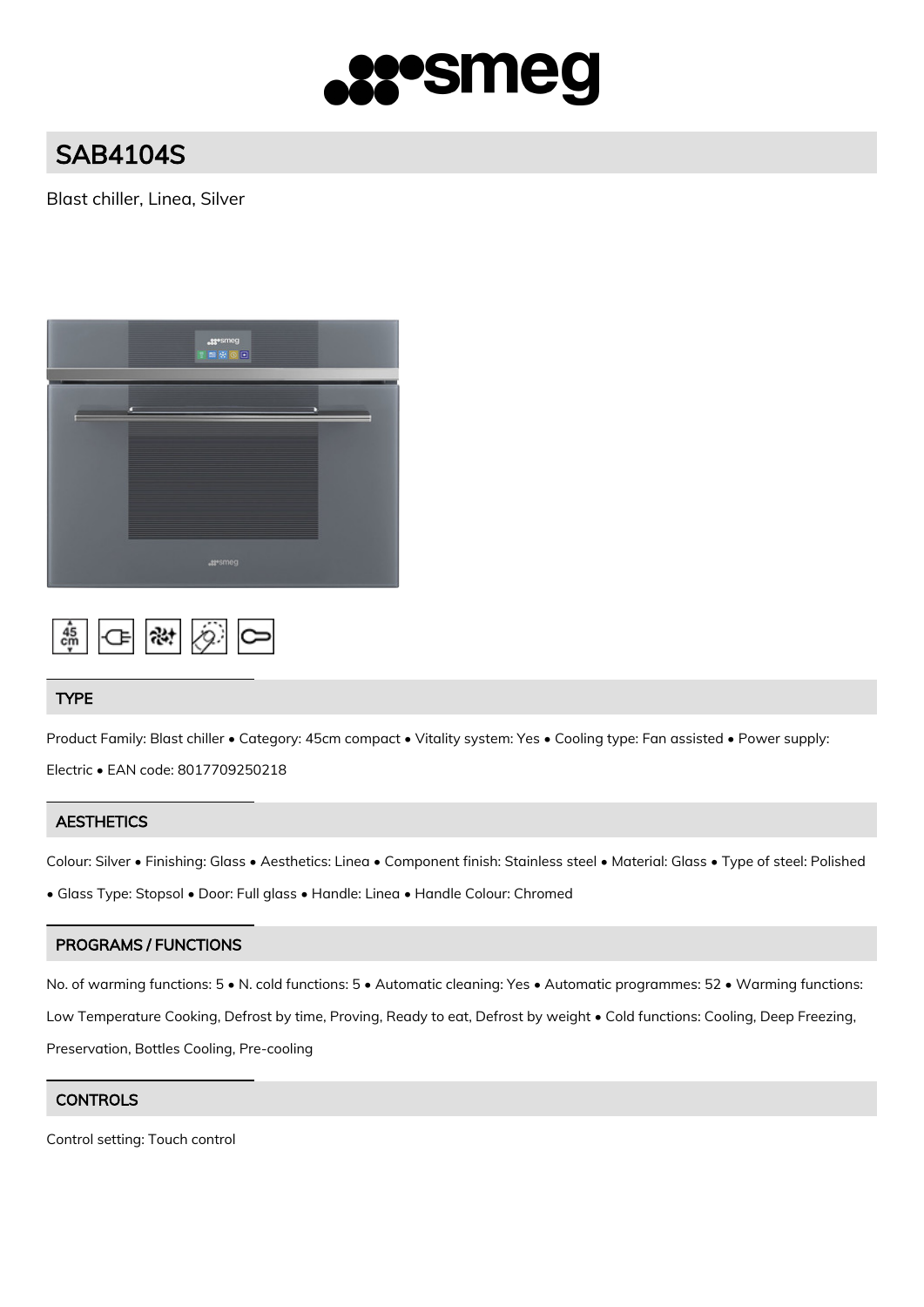

# SAB4104S

Blast chiller, Linea, Silver





# TYPE

Product Family: Blast chiller • Category: 45cm compact • Vitality system: Yes • Cooling type: Fan assisted • Power supply:

Electric • EAN code: 8017709250218

# **AESTHETICS**

Colour: Silver • Finishing: Glass • Aesthetics: Linea • Component finish: Stainless steel • Material: Glass • Type of steel: Polished

• Glass Type: Stopsol • Door: Full glass • Handle: Linea • Handle Colour: Chromed

# PROGRAMS / FUNCTIONS

No. of warming functions:  $5 \cdot N$ . cold functions:  $5 \cdot A$ utomatic cleaning: Yes  $\cdot A$ utomatic programmes: 52  $\cdot$  Warming functions: Low Temperature Cooking, Defrost by time, Proving, Ready to eat, Defrost by weight • Cold functions: Cooling, Deep Freezing, Preservation, Bottles Cooling, Pre-cooling

# **CONTROLS**

Control setting: Touch control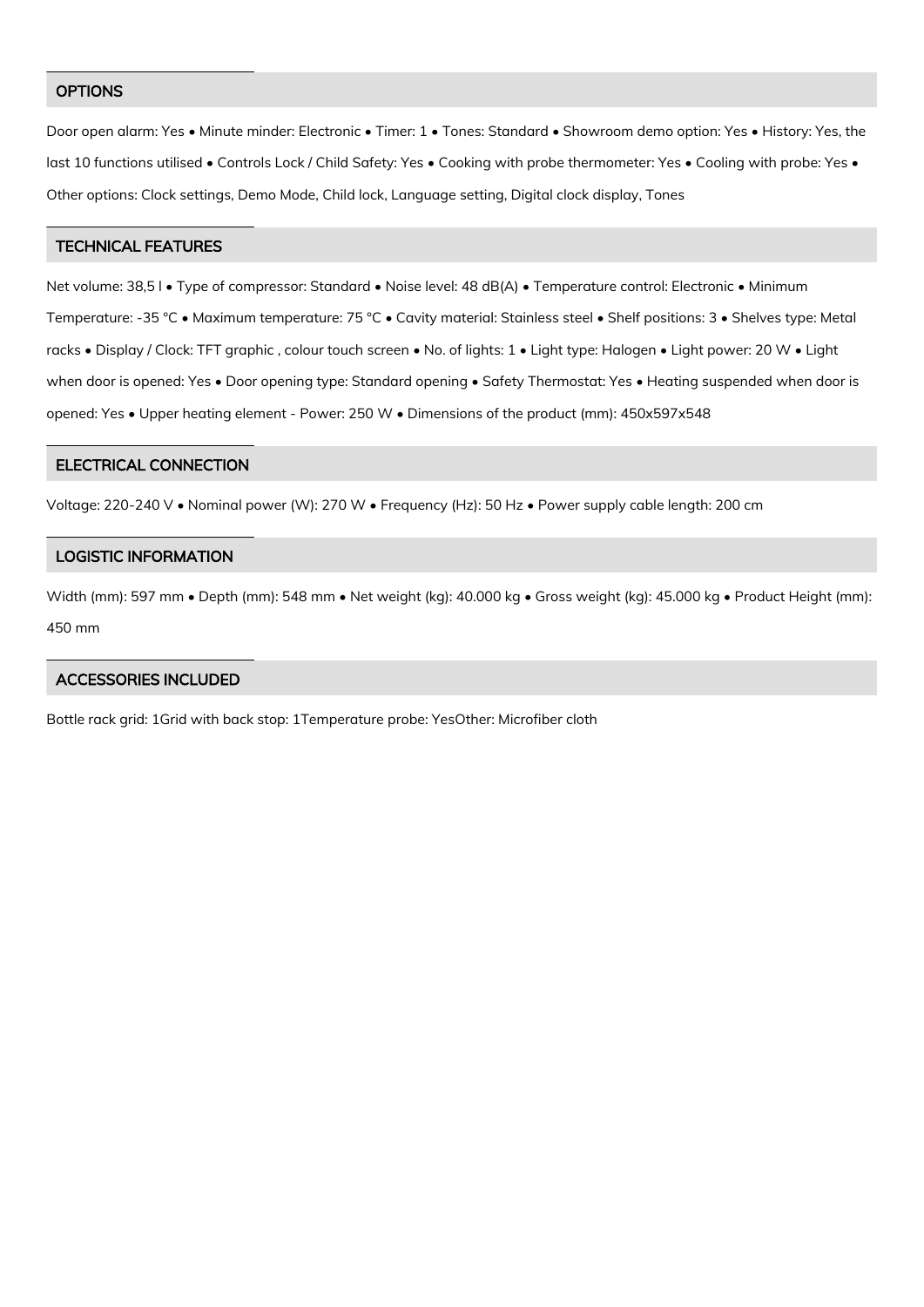#### **OPTIONS**

Door open alarm: Yes • Minute minder: Electronic • Timer: 1 • Tones: Standard • Showroom demo option: Yes • History: Yes, the last 10 functions utilised • Controls Lock / Child Safety: Yes • Cooking with probe thermometer: Yes • Cooling with probe: Yes • Other options: Clock settings, Demo Mode, Child lock, Language setting, Digital clock display, Tones

# TECHNICAL FEATURES

Net volume: 38,5 l • Type of compressor: Standard • Noise level: 48 dB(A) • Temperature control: Electronic • Minimum Temperature: -35 °C • Maximum temperature: 75 °C • Cavity material: Stainless steel • Shelf positions: 3 • Shelves type: Metal racks • Display / Clock: TFT graphic, colour touch screen • No. of lights: 1 • Light type: Halogen • Light power: 20 W • Light when door is opened: Yes • Door opening type: Standard opening • Safety Thermostat: Yes • Heating suspended when door is opened: Yes • Upper heating element - Power: 250 W • Dimensions of the product (mm): 450x597x548

#### ELECTRICAL CONNECTION

Voltage: 220-240 V • Nominal power (W): 270 W • Frequency (Hz): 50 Hz • Power supply cable length: 200 cm

### LOGISTIC INFORMATION

Width (mm): 597 mm • Depth (mm): 548 mm • Net weight (kg): 40.000 kg • Gross weight (kg): 45.000 kg • Product Height (mm): 450 mm

#### ACCESSORIES INCLUDED

Bottle rack grid: 1Grid with back stop: 1Temperature probe: YesOther: Microfiber cloth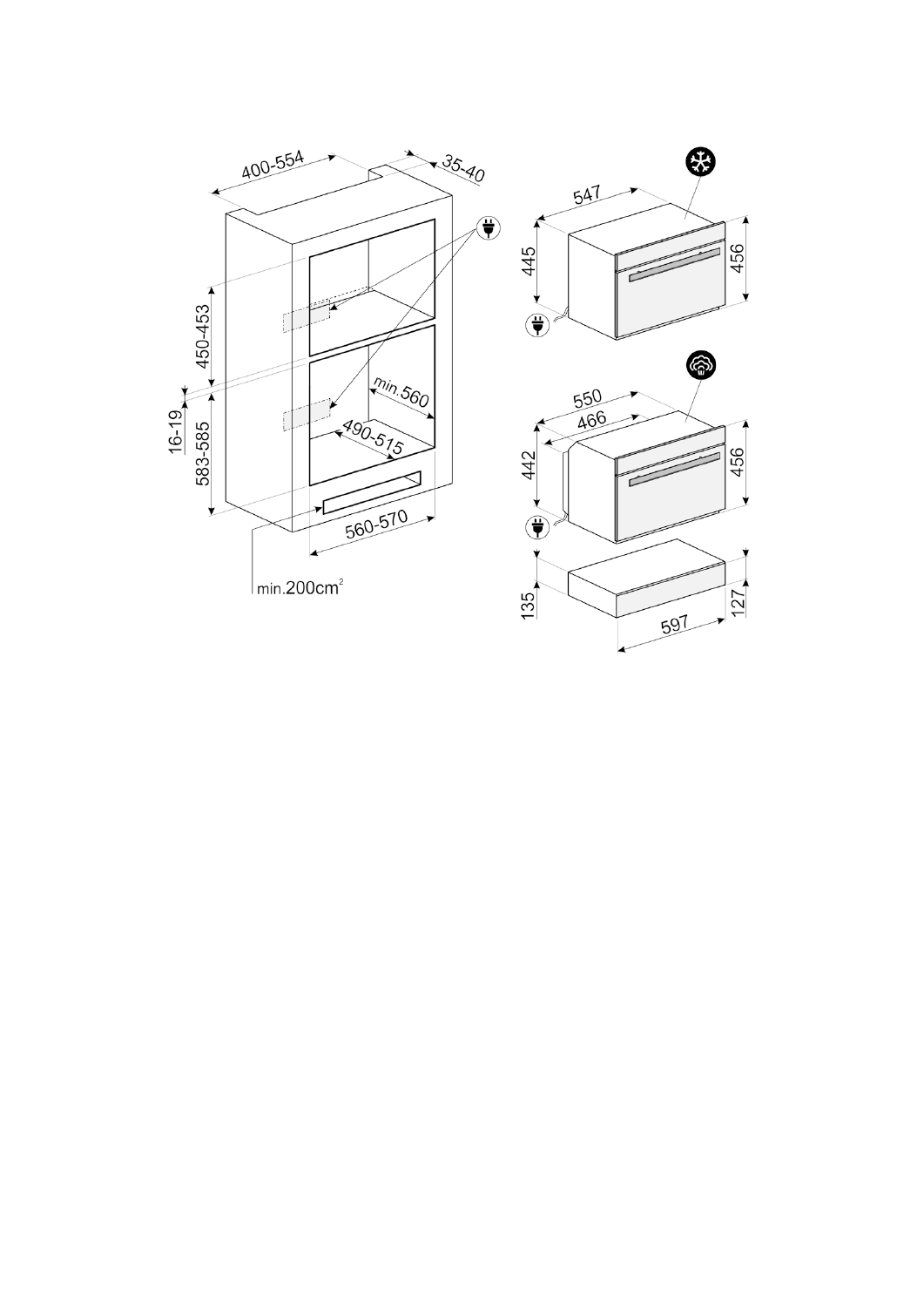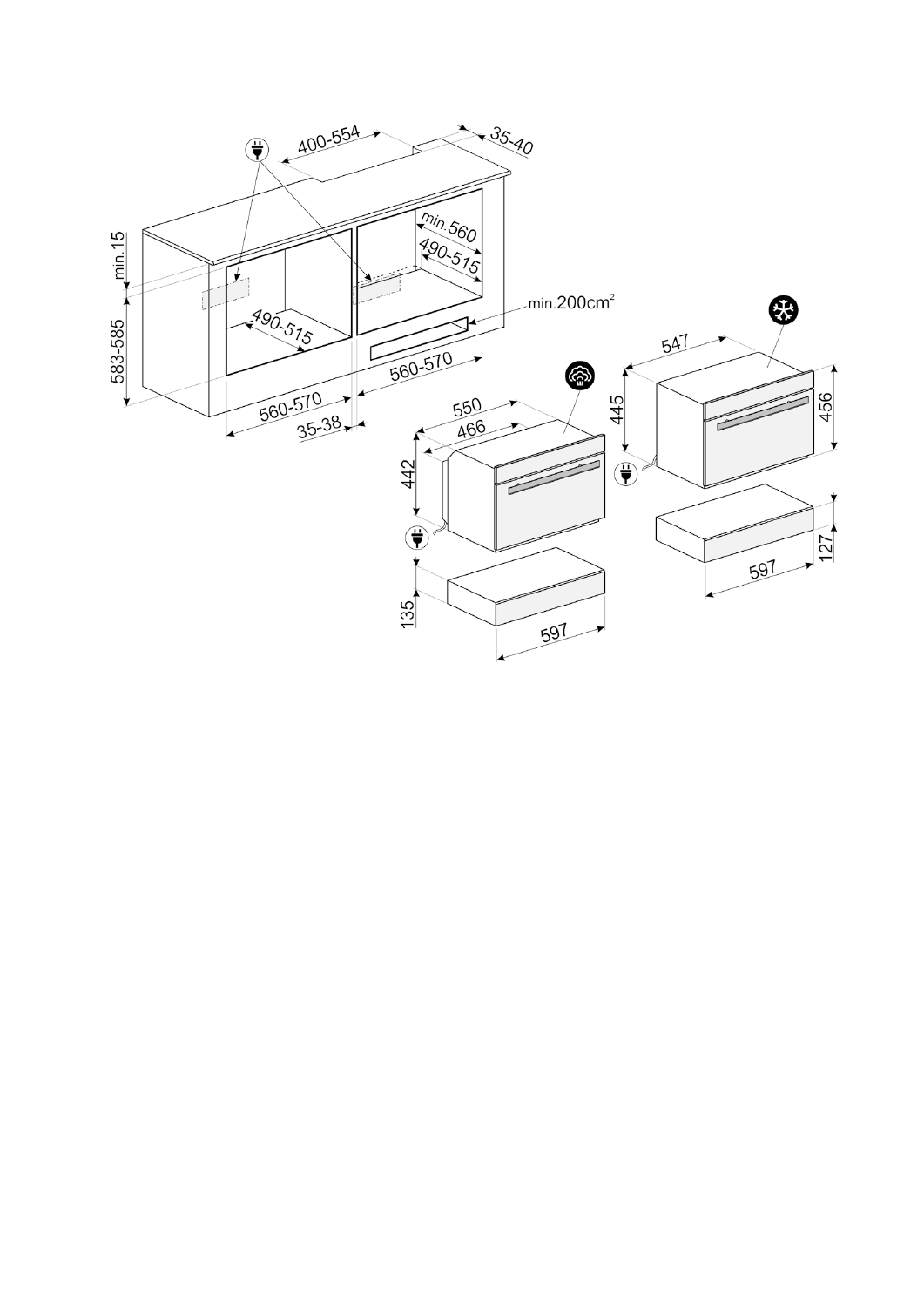